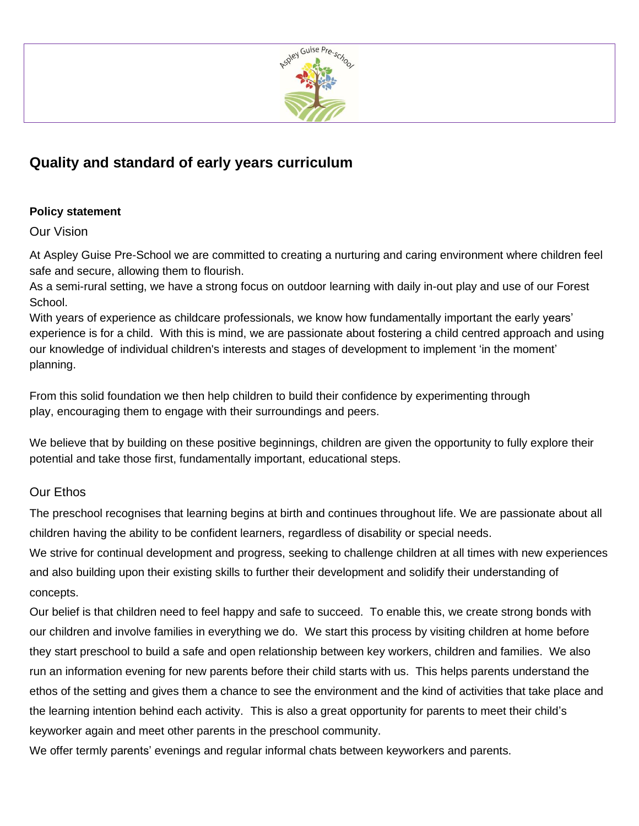

## **Quality and standard of early years curriculum**

## **Policy statement**

Our Vision

At Aspley Guise Pre-School we are committed to creating a nurturing and caring environment where children feel safe and secure, allowing them to flourish.

As a semi-rural setting, we have a strong focus on outdoor learning with daily in-out play and use of our Forest School.

With years of experience as childcare professionals, we know how fundamentally important the early years' experience is for a child. With this is mind, we are passionate about fostering a child centred approach and using our knowledge of individual children's interests and stages of development to implement 'in the moment' planning.

From this solid foundation we then help children to build their confidence by experimenting through play, encouraging them to engage with their surroundings and peers.

We believe that by building on these positive beginnings, children are given the opportunity to fully explore their potential and take those first, fundamentally important, educational steps.

## Our Ethos

The preschool recognises that learning begins at birth and continues throughout life. We are passionate about all children having the ability to be confident learners, regardless of disability or special needs.

We strive for continual development and progress, seeking to challenge children at all times with new experiences and also building upon their existing skills to further their development and solidify their understanding of concepts.

Our belief is that children need to feel happy and safe to succeed. To enable this, we create strong bonds with our children and involve families in everything we do. We start this process by visiting children at home before they start preschool to build a safe and open relationship between key workers, children and families. We also run an information evening for new parents before their child starts with us. This helps parents understand the ethos of the setting and gives them a chance to see the environment and the kind of activities that take place and the learning intention behind each activity. This is also a great opportunity for parents to meet their child's keyworker again and meet other parents in the preschool community.

We offer termly parents' evenings and regular informal chats between keyworkers and parents.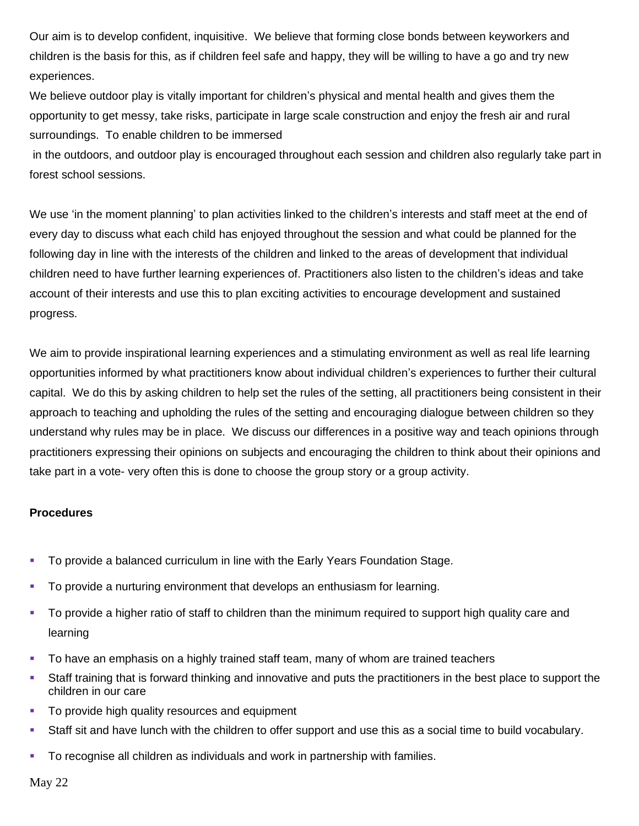Our aim is to develop confident, inquisitive. We believe that forming close bonds between keyworkers and children is the basis for this, as if children feel safe and happy, they will be willing to have a go and try new experiences.

We believe outdoor play is vitally important for children's physical and mental health and gives them the opportunity to get messy, take risks, participate in large scale construction and enjoy the fresh air and rural surroundings. To enable children to be immersed

in the outdoors, and outdoor play is encouraged throughout each session and children also regularly take part in forest school sessions.

We use 'in the moment planning' to plan activities linked to the children's interests and staff meet at the end of every day to discuss what each child has enjoyed throughout the session and what could be planned for the following day in line with the interests of the children and linked to the areas of development that individual children need to have further learning experiences of. Practitioners also listen to the children's ideas and take account of their interests and use this to plan exciting activities to encourage development and sustained progress.

We aim to provide inspirational learning experiences and a stimulating environment as well as real life learning opportunities informed by what practitioners know about individual children's experiences to further their cultural capital. We do this by asking children to help set the rules of the setting, all practitioners being consistent in their approach to teaching and upholding the rules of the setting and encouraging dialogue between children so they understand why rules may be in place. We discuss our differences in a positive way and teach opinions through practitioners expressing their opinions on subjects and encouraging the children to think about their opinions and take part in a vote- very often this is done to choose the group story or a group activity.

## **Procedures**

- To provide a balanced curriculum in line with the Early Years Foundation Stage.
- To provide a nurturing environment that develops an enthusiasm for learning.
- To provide a higher ratio of staff to children than the minimum required to support high quality care and learning
- **•** To have an emphasis on a highly trained staff team, many of whom are trained teachers
- Staff training that is forward thinking and innovative and puts the practitioners in the best place to support the children in our care
- **•** To provide high quality resources and equipment
- Staff sit and have lunch with the children to offer support and use this as a social time to build vocabulary.
- **•** To recognise all children as individuals and work in partnership with families.

May 22